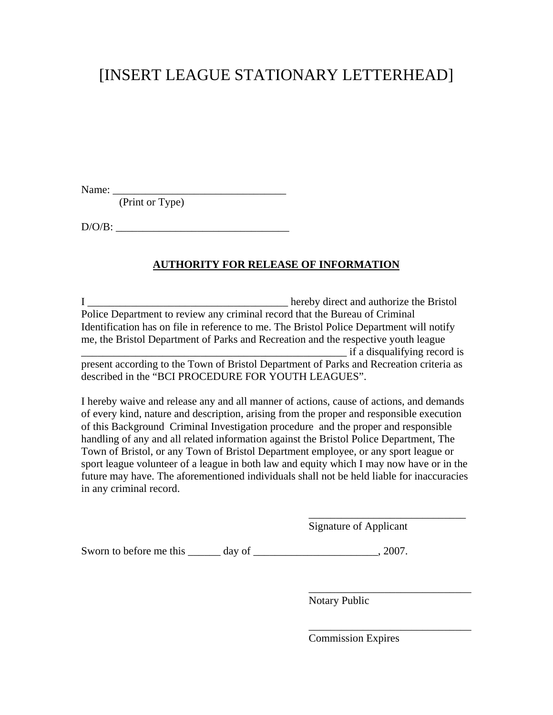## [INSERT LEAGUE STATIONARY LETTERHEAD]

Name: \_\_\_\_\_\_\_\_\_\_\_\_\_\_\_\_\_\_\_\_\_\_\_\_\_\_\_\_\_\_\_\_

(Print or Type)

D/O/B: \_\_\_\_\_\_\_\_\_\_\_\_\_\_\_\_\_\_\_\_\_\_\_\_\_\_\_\_\_\_\_\_

#### **AUTHORITY FOR RELEASE OF INFORMATION**

I \_\_\_\_\_\_\_\_\_\_\_\_\_\_\_\_\_\_\_\_\_\_\_\_\_\_\_\_\_\_\_\_\_\_\_\_\_ hereby direct and authorize the Bristol Police Department to review any criminal record that the Bureau of Criminal Identification has on file in reference to me. The Bristol Police Department will notify me, the Bristol Department of Parks and Recreation and the respective youth league \_\_\_\_\_\_\_\_\_\_\_\_\_\_\_\_\_\_\_\_\_\_\_\_\_\_\_\_\_\_\_\_\_\_\_\_\_\_\_\_\_\_\_\_\_\_\_\_\_ if a disqualifying record is present according to the Town of Bristol Department of Parks and Recreation criteria as

described in the "BCI PROCEDURE FOR YOUTH LEAGUES".

I hereby waive and release any and all manner of actions, cause of actions, and demands of every kind, nature and description, arising from the proper and responsible execution of this Background Criminal Investigation procedure and the proper and responsible handling of any and all related information against the Bristol Police Department, The Town of Bristol, or any Town of Bristol Department employee, or any sport league or sport league volunteer of a league in both law and equity which I may now have or in the future may have. The aforementioned individuals shall not be held liable for inaccuracies in any criminal record.

 $\overline{\phantom{a}}$  , which is a set of the set of the set of the set of the set of the set of the set of the set of the set of the set of the set of the set of the set of the set of the set of the set of the set of the set of th

 $\overline{\phantom{a}}$  , which is a set of the set of the set of the set of the set of the set of the set of the set of the set of the set of the set of the set of the set of the set of the set of the set of the set of the set of th

 $\overline{\phantom{a}}$  , which is a set of the set of the set of the set of the set of the set of the set of the set of the set of the set of the set of the set of the set of the set of the set of the set of the set of the set of th

Signature of Applicant

Sworn to before me this \_\_\_\_\_\_ day of \_\_\_\_\_\_\_\_\_\_\_\_\_\_\_\_\_\_\_\_\_\_, 2007.

Notary Public

Commission Expires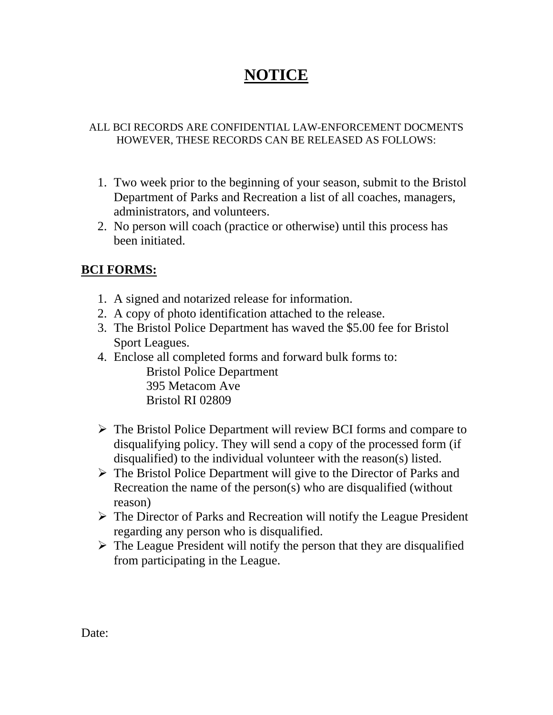# **NOTICE**

#### ALL BCI RECORDS ARE CONFIDENTIAL LAW-ENFORCEMENT DOCMENTS HOWEVER, THESE RECORDS CAN BE RELEASED AS FOLLOWS:

- 1. Two week prior to the beginning of your season, submit to the Bristol Department of Parks and Recreation a list of all coaches, managers, administrators, and volunteers.
- 2. No person will coach (practice or otherwise) until this process has been initiated.

### **BCI FORMS:**

- 1. A signed and notarized release for information.
- 2. A copy of photo identification attached to the release.
- 3. The Bristol Police Department has waved the \$5.00 fee for Bristol Sport Leagues.
- 4. Enclose all completed forms and forward bulk forms to: Bristol Police Department 395 Metacom Ave
	- Bristol RI 02809
- $\triangleright$  The Bristol Police Department will review BCI forms and compare to disqualifying policy. They will send a copy of the processed form (if disqualified) to the individual volunteer with the reason(s) listed.
- $\triangleright$  The Bristol Police Department will give to the Director of Parks and Recreation the name of the person(s) who are disqualified (without reason)
- $\triangleright$  The Director of Parks and Recreation will notify the League President regarding any person who is disqualified.
- $\triangleright$  The League President will notify the person that they are disqualified from participating in the League.

Date: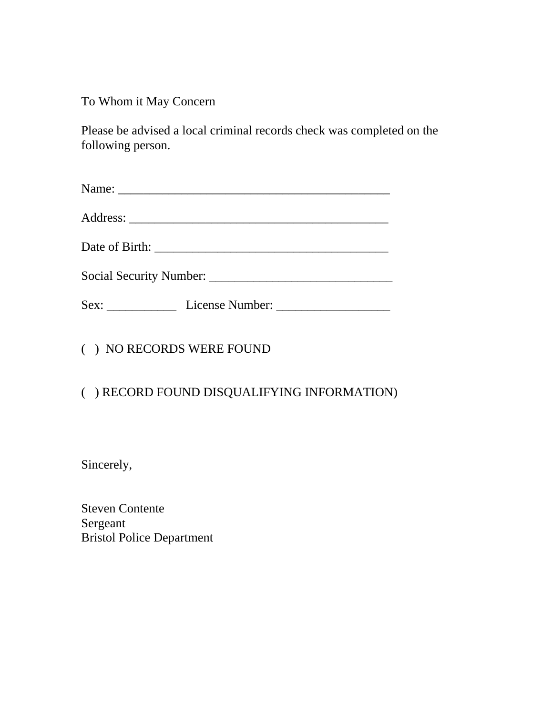To Whom it May Concern

Please be advised a local criminal records check was completed on the following person.

( ) NO RECORDS WERE FOUND

## ( ) RECORD FOUND DISQUALIFYING INFORMATION)

Sincerely,

Steven Contente Sergeant Bristol Police Department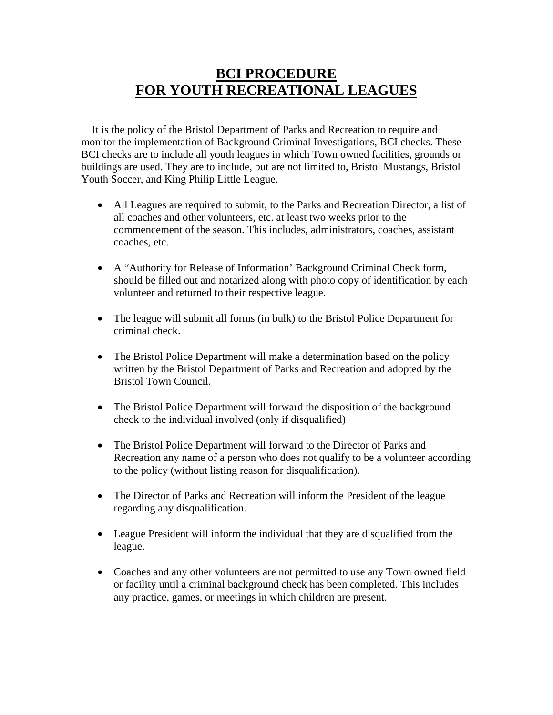## **BCI PROCEDURE FOR YOUTH RECREATIONAL LEAGUES**

 It is the policy of the Bristol Department of Parks and Recreation to require and monitor the implementation of Background Criminal Investigations, BCI checks. These BCI checks are to include all youth leagues in which Town owned facilities, grounds or buildings are used. They are to include, but are not limited to, Bristol Mustangs, Bristol Youth Soccer, and King Philip Little League.

- All Leagues are required to submit, to the Parks and Recreation Director, a list of all coaches and other volunteers, etc. at least two weeks prior to the commencement of the season. This includes, administrators, coaches, assistant coaches, etc.
- A "Authority for Release of Information' Background Criminal Check form, should be filled out and notarized along with photo copy of identification by each volunteer and returned to their respective league.
- The league will submit all forms (in bulk) to the Bristol Police Department for criminal check.
- The Bristol Police Department will make a determination based on the policy written by the Bristol Department of Parks and Recreation and adopted by the Bristol Town Council.
- The Bristol Police Department will forward the disposition of the background check to the individual involved (only if disqualified)
- The Bristol Police Department will forward to the Director of Parks and Recreation any name of a person who does not qualify to be a volunteer according to the policy (without listing reason for disqualification).
- The Director of Parks and Recreation will inform the President of the league regarding any disqualification.
- League President will inform the individual that they are disqualified from the league.
- Coaches and any other volunteers are not permitted to use any Town owned field or facility until a criminal background check has been completed. This includes any practice, games, or meetings in which children are present.